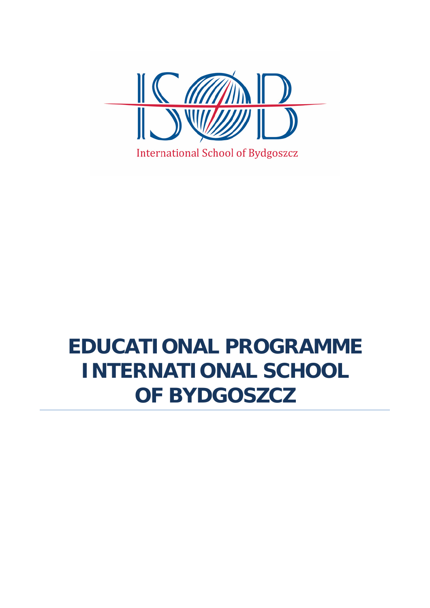

## **EDUCATIONAL PROGRAMME INTERNATIONAL SCHOOL OF BYDGOSZCZ**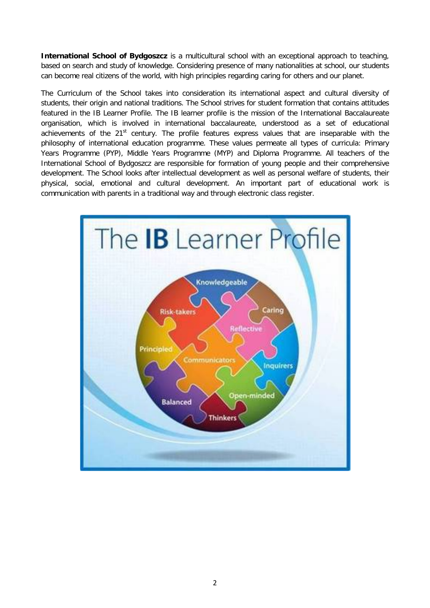**International School of Bydgoszcz** is a multicultural school with an exceptional approach to teaching, based on search and study of knowledge. Considering presence of many nationalities at school, our students can become real citizens of the world, with high principles regarding caring for others and our planet.

The Curriculum of the School takes into consideration its international aspect and cultural diversity of students, their origin and national traditions. The School strives for student formation that contains attitudes featured in the IB Learner Profile. The IB learner profile is the mission of the International Baccalaureate organisation, which is involved in international baccalaureate, understood as a set of educational achievements of the 21<sup>st</sup> century. The profile features express values that are inseparable with the philosophy of international education programme. These values permeate all types of curricula: Primary Years Programme (PYP), Middle Years Programme (MYP) and Diploma Programme. All teachers of the International School of Bydgoszcz are responsible for formation of young people and their comprehensive development. The School looks after intellectual development as well as personal welfare of students, their physical, social, emotional and cultural development. An important part of educational work is communication with parents in a traditional way and through electronic class register.

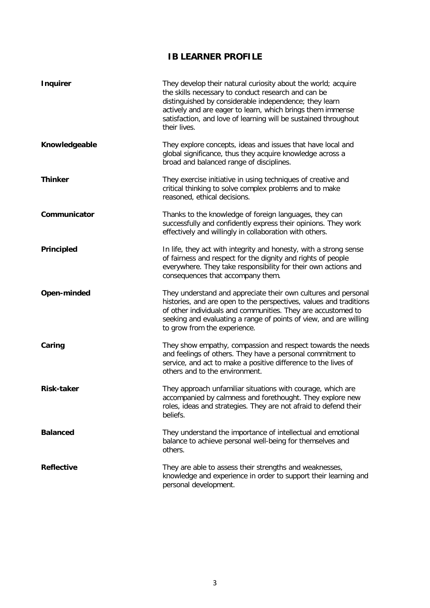## **IB LEARNER PROFILE**

| <b>Inquirer</b>   | They develop their natural curiosity about the world; acquire<br>the skills necessary to conduct research and can be<br>distinguished by considerable independence; they learn<br>actively and are eager to learn, which brings them immense<br>satisfaction, and love of learning will be sustained throughout<br>their lives. |
|-------------------|---------------------------------------------------------------------------------------------------------------------------------------------------------------------------------------------------------------------------------------------------------------------------------------------------------------------------------|
| Knowledgeable     | They explore concepts, ideas and issues that have local and<br>global significance, thus they acquire knowledge across a<br>broad and balanced range of disciplines.                                                                                                                                                            |
| <b>Thinker</b>    | They exercise initiative in using techniques of creative and<br>critical thinking to solve complex problems and to make<br>reasoned, ethical decisions.                                                                                                                                                                         |
| Communicator      | Thanks to the knowledge of foreign languages, they can<br>successfully and confidently express their opinions. They work<br>effectively and willingly in collaboration with others.                                                                                                                                             |
| Principled        | In life, they act with integrity and honesty, with a strong sense<br>of fairness and respect for the dignity and rights of people<br>everywhere. They take responsibility for their own actions and<br>consequences that accompany them.                                                                                        |
| Open-minded       | They understand and appreciate their own cultures and personal<br>histories, and are open to the perspectives, values and traditions<br>of other individuals and communities. They are accustomed to<br>seeking and evaluating a range of points of view, and are willing<br>to grow from the experience.                       |
| Caring            | They show empathy, compassion and respect towards the needs<br>and feelings of others. They have a personal commitment to<br>service, and act to make a positive difference to the lives of<br>others and to the environment.                                                                                                   |
| <b>Risk-taker</b> | They approach unfamiliar situations with courage, which are<br>accompanied by calmness and forethought. They explore new<br>roles, ideas and strategies. They are not afraid to defend their<br>beliefs.                                                                                                                        |
| <b>Balanced</b>   | They understand the importance of intellectual and emotional<br>balance to achieve personal well-being for themselves and<br>others.                                                                                                                                                                                            |
| <b>Reflective</b> | They are able to assess their strengths and weaknesses,<br>knowledge and experience in order to support their learning and<br>personal development.                                                                                                                                                                             |